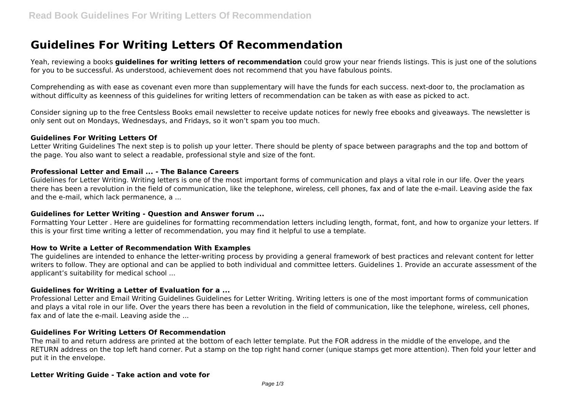# **Guidelines For Writing Letters Of Recommendation**

Yeah, reviewing a books **guidelines for writing letters of recommendation** could grow your near friends listings. This is just one of the solutions for you to be successful. As understood, achievement does not recommend that you have fabulous points.

Comprehending as with ease as covenant even more than supplementary will have the funds for each success. next-door to, the proclamation as without difficulty as keenness of this guidelines for writing letters of recommendation can be taken as with ease as picked to act.

Consider signing up to the free Centsless Books email newsletter to receive update notices for newly free ebooks and giveaways. The newsletter is only sent out on Mondays, Wednesdays, and Fridays, so it won't spam you too much.

## **Guidelines For Writing Letters Of**

Letter Writing Guidelines The next step is to polish up your letter. There should be plenty of space between paragraphs and the top and bottom of the page. You also want to select a readable, professional style and size of the font.

# **Professional Letter and Email ... - The Balance Careers**

Guidelines for Letter Writing. Writing letters is one of the most important forms of communication and plays a vital role in our life. Over the years there has been a revolution in the field of communication, like the telephone, wireless, cell phones, fax and of late the e-mail. Leaving aside the fax and the e-mail, which lack permanence, a ...

## **Guidelines for Letter Writing - Question and Answer forum ...**

Formatting Your Letter . Here are guidelines for formatting recommendation letters including length, format, font, and how to organize your letters. If this is your first time writing a letter of recommendation, you may find it helpful to use a template.

## **How to Write a Letter of Recommendation With Examples**

The guidelines are intended to enhance the letter-writing process by providing a general framework of best practices and relevant content for letter writers to follow. They are optional and can be applied to both individual and committee letters. Guidelines 1. Provide an accurate assessment of the applicant's suitability for medical school ...

## **Guidelines for Writing a Letter of Evaluation for a ...**

Professional Letter and Email Writing Guidelines Guidelines for Letter Writing. Writing letters is one of the most important forms of communication and plays a vital role in our life. Over the years there has been a revolution in the field of communication, like the telephone, wireless, cell phones, fax and of late the e-mail. Leaving aside the ...

## **Guidelines For Writing Letters Of Recommendation**

The mail to and return address are printed at the bottom of each letter template. Put the FOR address in the middle of the envelope, and the RETURN address on the top left hand corner. Put a stamp on the top right hand corner (unique stamps get more attention). Then fold your letter and put it in the envelope.

# **Letter Writing Guide - Take action and vote for**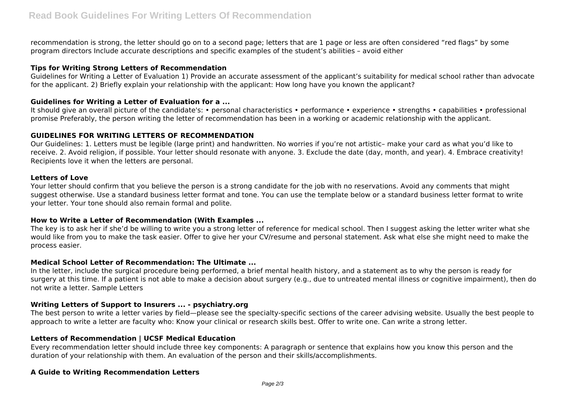recommendation is strong, the letter should go on to a second page; letters that are 1 page or less are often considered "red flags" by some program directors Include accurate descriptions and specific examples of the student's abilities – avoid either

# **Tips for Writing Strong Letters of Recommendation**

Guidelines for Writing a Letter of Evaluation 1) Provide an accurate assessment of the applicant's suitability for medical school rather than advocate for the applicant. 2) Briefly explain your relationship with the applicant: How long have you known the applicant?

# **Guidelines for Writing a Letter of Evaluation for a ...**

It should give an overall picture of the candidate's: • personal characteristics • performance • experience • strengths • capabilities • professional promise Preferably, the person writing the letter of recommendation has been in a working or academic relationship with the applicant.

# **GUIDELINES FOR WRITING LETTERS OF RECOMMENDATION**

Our Guidelines: 1. Letters must be legible (large print) and handwritten. No worries if you're not artistic– make your card as what you'd like to receive. 2. Avoid religion, if possible. Your letter should resonate with anyone. 3. Exclude the date (day, month, and year). 4. Embrace creativity! Recipients love it when the letters are personal.

## **Letters of Love**

Your letter should confirm that you believe the person is a strong candidate for the job with no reservations. Avoid any comments that might suggest otherwise. Use a standard business letter format and tone. You can use the template below or a standard business letter format to write your letter. Your tone should also remain formal and polite.

# **How to Write a Letter of Recommendation (With Examples ...**

The key is to ask her if she'd be willing to write you a strong letter of reference for medical school. Then I suggest asking the letter writer what she would like from you to make the task easier. Offer to give her your CV/resume and personal statement. Ask what else she might need to make the process easier.

# **Medical School Letter of Recommendation: The Ultimate ...**

In the letter, include the surgical procedure being performed, a brief mental health history, and a statement as to why the person is ready for surgery at this time. If a patient is not able to make a decision about surgery (e.g., due to untreated mental illness or cognitive impairment), then do not write a letter. Sample Letters

# **Writing Letters of Support to Insurers ... - psychiatry.org**

The best person to write a letter varies by field—please see the specialty-specific sections of the career advising website. Usually the best people to approach to write a letter are faculty who: Know your clinical or research skills best. Offer to write one. Can write a strong letter.

# **Letters of Recommendation | UCSF Medical Education**

Every recommendation letter should include three key components: A paragraph or sentence that explains how you know this person and the duration of your relationship with them. An evaluation of the person and their skills/accomplishments.

# **A Guide to Writing Recommendation Letters**